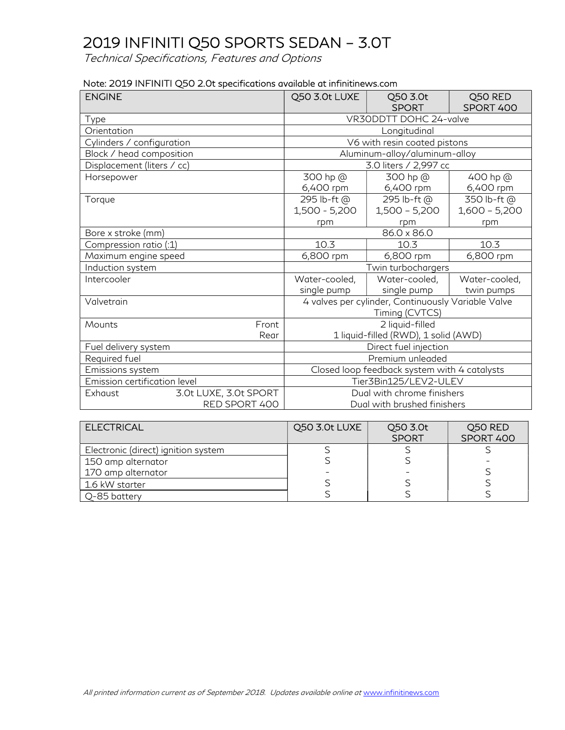| Note: 2019 INFINITI Q50 2.0t specifications available at infinitinews.com |  |
|---------------------------------------------------------------------------|--|
|---------------------------------------------------------------------------|--|

| <b>ENGINE</b>                |                       | Q50 3.0t LUXE                                | Q50 3.0t<br><b>SPORT</b>                                             | Q50 RED<br>SPORT 400           |  |
|------------------------------|-----------------------|----------------------------------------------|----------------------------------------------------------------------|--------------------------------|--|
| Type                         |                       |                                              | VR30DDTT DOHC 24-valve                                               |                                |  |
| Orientation                  |                       |                                              | Longitudinal                                                         |                                |  |
| Cylinders / configuration    |                       |                                              | V6 with resin coated pistons                                         |                                |  |
| Block / head composition     |                       |                                              | Aluminum-alloy/aluminum-alloy                                        |                                |  |
| Displacement (liters / cc)   |                       |                                              | 3.0 liters / 2,997 cc                                                |                                |  |
| Horsepower                   |                       | 300 hp @<br>6,400 rpm                        | 300 hp @<br>6,400 rpm                                                | 400 hp @<br>6,400 rpm          |  |
| Torque                       |                       | 295 lb-ft @<br>1,500 - 5,200                 | 295 lb-ft @<br>$1,500 - 5,200$                                       | 350 lb-ft @<br>$1,600 - 5,200$ |  |
|                              |                       | rpm                                          | rpm                                                                  | rpm                            |  |
| Bore x stroke (mm)           |                       | 86.0 x 86.0                                  |                                                                      |                                |  |
| Compression ratio (:1)       |                       | 10.3                                         | 10.3                                                                 | 10.3                           |  |
| Maximum engine speed         |                       | 6,800 rpm                                    | 6,800 rpm                                                            | 6,800 rpm                      |  |
| Induction system             |                       |                                              | Twin turbochargers                                                   |                                |  |
| Intercooler                  |                       | Water-cooled,                                | Water-cooled,                                                        | Water-cooled,                  |  |
|                              |                       | single pump                                  | single pump                                                          | twin pumps                     |  |
| Valvetrain                   |                       |                                              | 4 valves per cylinder, Continuously Variable Valve<br>Timing (CVTCS) |                                |  |
| Mounts                       | Front                 |                                              | 2 liquid-filled                                                      |                                |  |
|                              | Rear                  |                                              | 1 liquid-filled (RWD), 1 solid (AWD)                                 |                                |  |
| Fuel delivery system         |                       | Direct fuel injection                        |                                                                      |                                |  |
| Required fuel                |                       | Premium unleaded                             |                                                                      |                                |  |
| Emissions system             |                       | Closed loop feedback system with 4 catalysts |                                                                      |                                |  |
| Emission certification level |                       |                                              | Tier3Bin125/LEV2-ULEV                                                |                                |  |
| Exhaust                      | 3.0t LUXE, 3.0t SPORT | Dual with chrome finishers                   |                                                                      |                                |  |
|                              | RED SPORT 400         | Dual with brushed finishers                  |                                                                      |                                |  |

| <b>ELECTRICAL</b>                   | Q50 3.0t LUXE | Q50 3.0t<br><b>SPORT</b> | Q50 RED<br>SPORT 400 |
|-------------------------------------|---------------|--------------------------|----------------------|
| Electronic (direct) ignition system |               |                          |                      |
| 150 amp alternator                  |               |                          |                      |
| 170 amp alternator                  |               |                          |                      |
| 1.6 kW starter                      |               |                          |                      |
| Q-85 battery                        |               |                          |                      |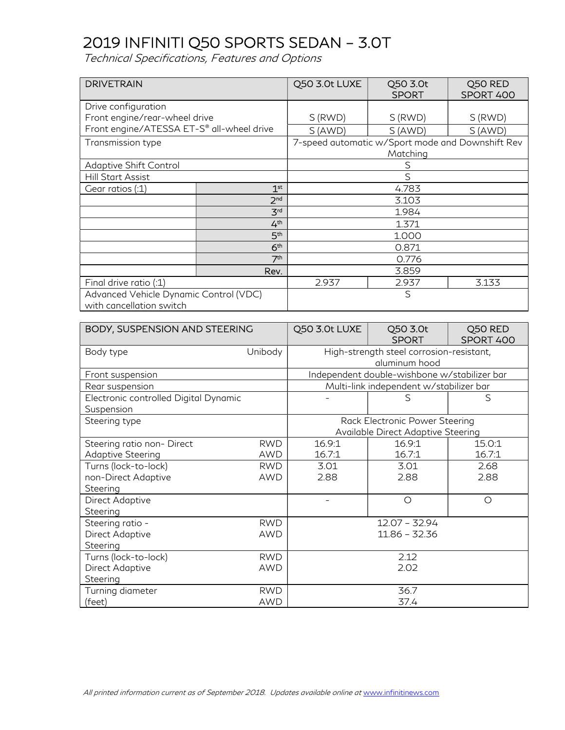| <b>DRIVETRAIN</b>                                                  |                 | Q50 3.0t LUXE | Q50 3.0t<br><b>SPORT</b>                         | Q50 RED<br>SPORT 400 |
|--------------------------------------------------------------------|-----------------|---------------|--------------------------------------------------|----------------------|
| Drive configuration                                                |                 |               |                                                  |                      |
| Front engine/rear-wheel drive                                      |                 | S(RWD)        | S(RWD)                                           | S (RWD)              |
| Front engine/ATESSA ET-S® all-wheel drive                          |                 | S(AND)        | S(AND)                                           | S (AWD)              |
| Transmission type                                                  |                 |               | 7-speed automatic w/Sport mode and Downshift Rev |                      |
|                                                                    |                 |               | Matching                                         |                      |
| Adaptive Shift Control                                             |                 |               | S                                                |                      |
| <b>Hill Start Assist</b>                                           |                 | $\mathcal{S}$ |                                                  |                      |
| Gear ratios (:1)                                                   | 1 <sup>st</sup> |               | 4.783                                            |                      |
|                                                                    | 2 <sup>nd</sup> |               | 3.103                                            |                      |
|                                                                    | 3 <sup>rd</sup> | 1.984         |                                                  |                      |
|                                                                    | 4 <sup>th</sup> |               | 1.371                                            |                      |
|                                                                    | 5 <sup>th</sup> |               | 1.000                                            |                      |
|                                                                    | 6 <sup>th</sup> |               | 0.871                                            |                      |
|                                                                    | 7 <sup>th</sup> | 0.776         |                                                  |                      |
|                                                                    | Rev.            | 3.859         |                                                  |                      |
| Final drive ratio (:1)                                             |                 | 2.937         | 2.937                                            | 3.133                |
| Advanced Vehicle Dynamic Control (VDC)<br>with cancellation switch |                 |               | S                                                |                      |

| BODY, SUSPENSION AND STEERING                       |                | Q50 3.0t LUXE                                                        | Q50 3.0t<br><b>SPORT</b>                                  | Q50 RED<br>SPORT 400 |  |
|-----------------------------------------------------|----------------|----------------------------------------------------------------------|-----------------------------------------------------------|----------------------|--|
| Body type                                           | <b>Unibody</b> |                                                                      | High-strength steel corrosion-resistant,<br>aluminum hood |                      |  |
| Front suspension                                    |                |                                                                      | Independent double-wishbone w/stabilizer bar              |                      |  |
| Rear suspension                                     |                |                                                                      | Multi-link independent w/stabilizer bar                   |                      |  |
| Electronic controlled Digital Dynamic<br>Suspension |                |                                                                      | S                                                         | S                    |  |
| Steering type                                       |                | Rack Electronic Power Steering<br>Available Direct Adaptive Steering |                                                           |                      |  |
| Steering ratio non- Direct                          | <b>RWD</b>     | 16.9:1                                                               | 16.9:1                                                    | 15.0:1               |  |
| <b>Adaptive Steering</b>                            | <b>AWD</b>     | 16.7:1                                                               | 16.7:1                                                    | 16.7:1               |  |
| Turns (lock-to-lock)                                | <b>RWD</b>     | 3.01                                                                 | 3.01                                                      | 2.68                 |  |
| non-Direct Adaptive                                 | <b>AWD</b>     | 2.88                                                                 | 2.88                                                      | 2.88                 |  |
| Steering                                            |                |                                                                      |                                                           |                      |  |
| Direct Adaptive                                     |                |                                                                      | $\circ$                                                   | $\circ$              |  |
| Steering                                            |                |                                                                      |                                                           |                      |  |
| Steering ratio -                                    | <b>RWD</b>     |                                                                      | $12.07 - 32.94$                                           |                      |  |
| Direct Adaptive                                     | <b>AWD</b>     | 11.86 - 32.36                                                        |                                                           |                      |  |
| Steering                                            |                |                                                                      |                                                           |                      |  |
| Turns (lock-to-lock)                                | <b>RWD</b>     | 2.12                                                                 |                                                           |                      |  |
| Direct Adaptive                                     | AWD            | 2.02                                                                 |                                                           |                      |  |
| Steering                                            |                |                                                                      |                                                           |                      |  |
| Turning diameter                                    | <b>RWD</b>     | 36.7                                                                 |                                                           |                      |  |
| (feet)                                              | <b>AWD</b>     |                                                                      | 37.4                                                      |                      |  |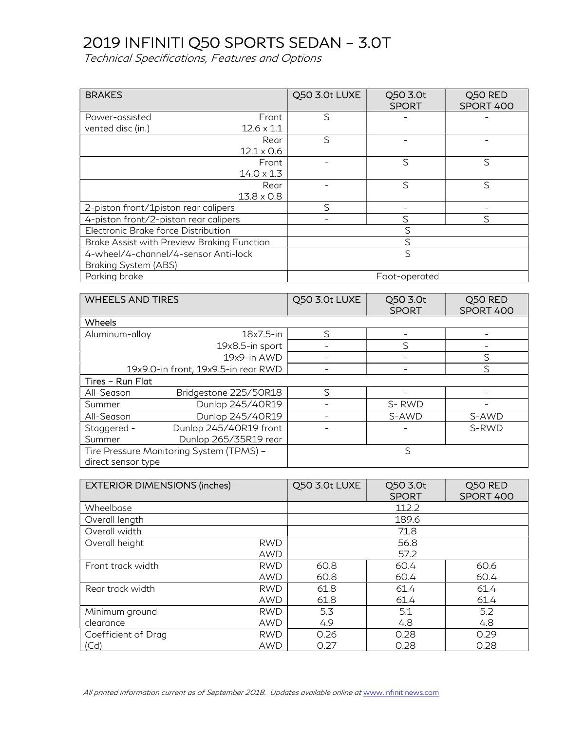| <b>BRAKES</b>                              |                                      | Q50 3.0t LUXE | Q50 3.0t<br><b>SPORT</b> | Q50 RED<br>SPORT 400 |
|--------------------------------------------|--------------------------------------|---------------|--------------------------|----------------------|
| Power-assisted                             | Front                                | S             |                          |                      |
| vented disc (in.)                          | $12.6 \times 1.1$                    |               |                          |                      |
|                                            | Rear                                 | S             |                          |                      |
|                                            | $12.1 \times 0.6$                    |               |                          |                      |
|                                            | Front                                |               | $\mathsf{S}$             | S                    |
|                                            | $14.0 \times 1.3$                    |               |                          |                      |
|                                            | Rear                                 |               | $\mathsf{S}$             | $\mathcal{S}$        |
|                                            | $13.8 \times 0.8$                    |               |                          |                      |
| 2-piston front/1piston rear calipers       |                                      |               |                          |                      |
| 4-piston front/2-piston rear calipers      |                                      |               | S                        | $\mathcal{S}$        |
| Electronic Brake force Distribution        |                                      |               | S                        |                      |
| Brake Assist with Preview Braking Function |                                      |               | $\mathcal{S}$            |                      |
|                                            | 4-wheel/4-channel/4-sensor Anti-lock |               | S                        |                      |
| Braking System (ABS)                       |                                      |               |                          |                      |
| Parking brake                              |                                      |               | Foot-operated            |                      |

| <b>WHEELS AND TIRES</b>             |                                          | Q50 3.0t LUXE | Q50 3.0t<br><b>SPORT</b> | Q50 RED<br>SPORT 400 |
|-------------------------------------|------------------------------------------|---------------|--------------------------|----------------------|
| <b>Wheels</b>                       |                                          |               |                          |                      |
| Aluminum-alloy                      | 18x7.5-in                                | $\varsigma$   |                          |                      |
|                                     | 19x8.5-in sport                          |               | S                        |                      |
|                                     | 19x9-in AWD                              |               |                          | S                    |
| 19x9.0-in front, 19x9.5-in rear RWD |                                          |               |                          | S                    |
| Tires - Run Flat                    |                                          |               |                          |                      |
| All-Season                          | Bridgestone 225/50R18                    | ς             |                          |                      |
| Summer                              | Dunlop 245/40R19                         |               | S-RWD                    |                      |
| All-Season                          | Dunlop 245/40R19                         |               | S-AWD                    | S-AWD                |
| Staggered -                         | Dunlop 245/40R19 front                   |               |                          | S-RWD                |
| Summer                              | Dunlop 265/35R19 rear                    |               |                          |                      |
|                                     | Tire Pressure Monitoring System (TPMS) - |               | S                        |                      |
| direct sensor type                  |                                          |               |                          |                      |

| <b>EXTERIOR DIMENSIONS (inches)</b> |            | Q50 3.0t LUXE | Q50 3.0t<br><b>SPORT</b> | Q50 RED<br>SPORT 400 |
|-------------------------------------|------------|---------------|--------------------------|----------------------|
| Wheelbase                           |            |               | 112.2                    |                      |
| Overall length                      |            |               | 189.6                    |                      |
| Overall width                       |            |               | 71.8                     |                      |
| Overall height                      | <b>RWD</b> | 56.8          |                          |                      |
|                                     | <b>AWD</b> |               | 57.2                     |                      |
| Front track width                   | <b>RWD</b> | 60.8          | 60.4                     | 60.6                 |
|                                     | <b>AWD</b> | 60.8          | 60.4                     | 60.4                 |
| Rear track width                    | <b>RWD</b> | 61.8          | 61.4                     | 61.4                 |
|                                     | AWD        | 61.8          | 61.4                     | 61.4                 |
| Minimum ground                      | <b>RWD</b> | 5.3           | 5.1                      | 5.2                  |
| clearance                           | AWD        | 4.9           | 4.8                      | 4.8                  |
| Coefficient of Drag                 | <b>RWD</b> | 0.26          | 0.28                     | 0.29                 |
| (Cd)                                | <b>AWD</b> | 0.27          | 0.28                     | 0.28                 |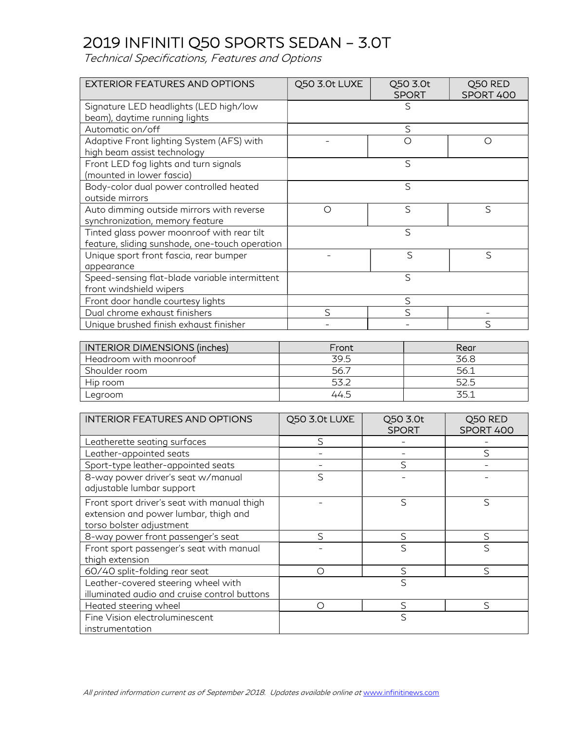| <b>EXTERIOR FEATURES AND OPTIONS</b>                                                         | Q50 3.0t LUXE | Q50 3.0t<br><b>SPORT</b> | Q50 RED<br>SPORT 400 |
|----------------------------------------------------------------------------------------------|---------------|--------------------------|----------------------|
| Signature LED headlights (LED high/low<br>beam), daytime running lights                      |               | S                        |                      |
| Automatic on/off                                                                             |               | S                        |                      |
| Adaptive Front lighting System (AFS) with<br>high beam assist technology                     |               | ∩                        | ∩                    |
| Front LED fog lights and turn signals<br>(mounted in lower fascia)                           |               | S                        |                      |
| Body-color dual power controlled heated<br>outside mirrors                                   |               | $\mathcal{S}$            |                      |
| Auto dimming outside mirrors with reverse<br>synchronization, memory feature                 | ◯             | S                        | S                    |
| Tinted glass power moonroof with rear tilt<br>feature, sliding sunshade, one-touch operation |               | S                        |                      |
| Unique sport front fascia, rear bumper<br>appearance                                         |               | S                        | S                    |
| Speed-sensing flat-blade variable intermittent<br>front windshield wipers                    |               | $\mathcal{S}$            |                      |
| Front door handle courtesy lights                                                            |               | S                        |                      |
| Dual chrome exhaust finishers                                                                | $\varsigma$   | $\varsigma$              |                      |
| Unique brushed finish exhaust finisher                                                       |               |                          | S                    |

| INTERIOR DIMENSIONS (inches) | Front | Rear |
|------------------------------|-------|------|
| Headroom with moonroof       | 39.5  | 36.8 |
| Shoulder room                | 56.7  | 56.1 |
| Hip room                     | トス つ  | 52.5 |
| Legroom                      | 44.5  | 35.1 |

| <b>INTERIOR FEATURES AND OPTIONS</b>                                                                             | Q50 3.0t LUXE | Q50 3.0t<br><b>SPORT</b> | Q50 RED<br>SPORT 400 |
|------------------------------------------------------------------------------------------------------------------|---------------|--------------------------|----------------------|
| Leatherette seating surfaces                                                                                     | $\mathcal{S}$ |                          |                      |
| Leather-appointed seats                                                                                          |               |                          | $\varsigma$          |
| Sport-type leather-appointed seats                                                                               |               | S                        |                      |
| 8-way power driver's seat w/manual<br>adjustable lumbar support                                                  | S             |                          |                      |
| Front sport driver's seat with manual thigh<br>extension and power lumbar, thigh and<br>torso bolster adjustment |               | S                        | ς                    |
| 8-way power front passenger's seat                                                                               | S             | S                        | S                    |
| Front sport passenger's seat with manual<br>thigh extension                                                      |               | S                        | S                    |
| 60/40 split-folding rear seat                                                                                    | ∩             | S                        | ς                    |
| Leather-covered steering wheel with<br>illuminated audio and cruise control buttons                              |               | S                        |                      |
| Heated steering wheel                                                                                            | ∩             | S                        | $\varsigma$          |
| Fine Vision electroluminescent<br>instrumentation                                                                |               | S                        |                      |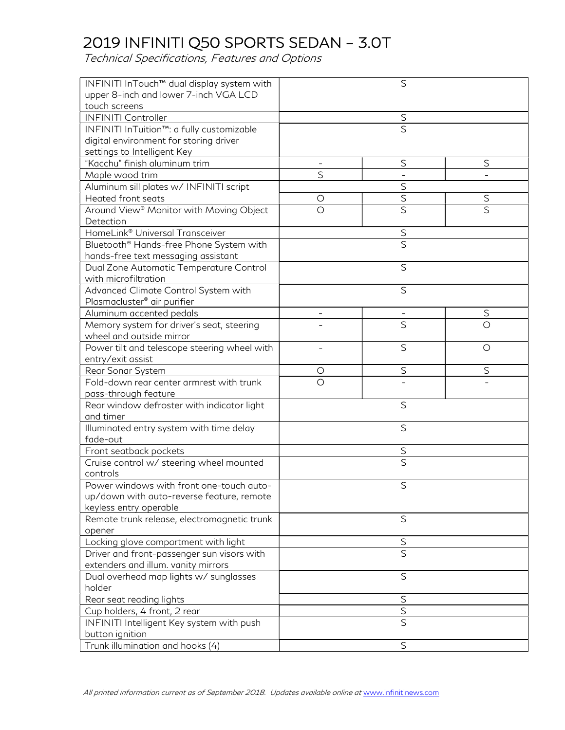| INFINITI InTouch™ dual display system with          |                          | S                       |                         |  |
|-----------------------------------------------------|--------------------------|-------------------------|-------------------------|--|
| upper 8-inch and lower 7-inch VGA LCD               |                          |                         |                         |  |
| touch screens                                       |                          |                         |                         |  |
| <b>INFINITI Controller</b>                          |                          | $\overline{\mathsf{S}}$ |                         |  |
| INFINITI InTuition™: a fully customizable           |                          | $\overline{\mathsf{S}}$ |                         |  |
| digital environment for storing driver              |                          |                         |                         |  |
| settings to Intelligent Key                         |                          |                         |                         |  |
| "Kacchu" finish aluminum trim                       |                          | $\mathsf S$             | S                       |  |
| Maple wood trim                                     | S                        |                         |                         |  |
| Aluminum sill plates w/ INFINITI script             |                          | S                       |                         |  |
| Heated front seats                                  | O                        | $\overline{\mathsf{S}}$ | $\mathsf S$             |  |
| Around View® Monitor with Moving Object             | $\circ$                  | $\overline{\mathsf{S}}$ | $\overline{\mathsf{S}}$ |  |
| Detection                                           |                          |                         |                         |  |
| HomeLink® Universal Transceiver                     |                          | $rac{S}{S}$             |                         |  |
| Bluetooth <sup>®</sup> Hands-free Phone System with |                          |                         |                         |  |
| hands-free text messaging assistant                 |                          |                         |                         |  |
| Dual Zone Automatic Temperature Control             |                          | $\mathsf S$             |                         |  |
| with microfiltration                                |                          |                         |                         |  |
| Advanced Climate Control System with                |                          | S                       |                         |  |
| Plasmacluster <sup>®</sup> air purifier             |                          |                         |                         |  |
| Aluminum accented pedals                            | $\overline{\phantom{m}}$ |                         | $\mathsf S$             |  |
| Memory system for driver's seat, steering           |                          | Ś                       | $\bigcirc$              |  |
| wheel and outside mirror                            |                          |                         |                         |  |
| Power tilt and telescope steering wheel with        |                          | $\mathsf S$             | $\circ$                 |  |
| entry/exit assist                                   |                          |                         |                         |  |
| Rear Sonar System                                   | O                        | $\mathsf S$             | $\mathsf S$             |  |
| Fold-down rear center armrest with trunk            | $\bigcirc$               |                         |                         |  |
| pass-through feature                                |                          |                         |                         |  |
| Rear window defroster with indicator light          |                          | S                       |                         |  |
| and timer                                           |                          |                         |                         |  |
| Illuminated entry system with time delay            |                          | S                       |                         |  |
| fade-out                                            |                          |                         |                         |  |
| Front seatback pockets                              |                          | $\mathsf S$             |                         |  |
| Cruise control w/ steering wheel mounted            |                          | S                       |                         |  |
| controls                                            |                          |                         |                         |  |
| Power windows with front one-touch auto-            |                          | S                       |                         |  |
| up/down with auto-reverse feature, remote           |                          |                         |                         |  |
| keyless entry operable                              |                          |                         |                         |  |
| Remote trunk release, electromagnetic trunk         |                          | $\mathsf S$             |                         |  |
| opener                                              |                          |                         |                         |  |
| Locking glove compartment with light                |                          | S                       |                         |  |
| Driver and front-passenger sun visors with          |                          | $\overline{\mathsf{S}}$ |                         |  |
| extenders and illum. vanity mirrors                 |                          |                         |                         |  |
| Dual overhead map lights w/ sunglasses              | S                        |                         |                         |  |
| holder                                              |                          |                         |                         |  |
| Rear seat reading lights                            |                          | $\mathsf S$             |                         |  |
| Cup holders, 4 front, 2 rear                        | $\mathsf S$              |                         |                         |  |
| INFINITI Intelligent Key system with push           |                          | $\overline{S}$          |                         |  |
| button ignition                                     |                          |                         |                         |  |
| Trunk illumination and hooks (4)                    |                          | $\mathsf S$             |                         |  |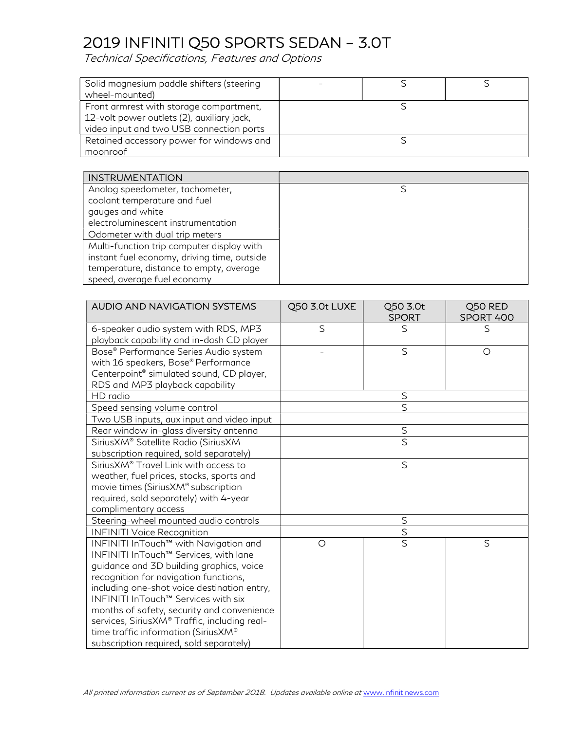| Solid magnesium paddle shifters (steering  |  |  |
|--------------------------------------------|--|--|
| wheel-mounted)                             |  |  |
| Front armrest with storage compartment,    |  |  |
| 12-volt power outlets (2), auxiliary jack, |  |  |
| video input and two USB connection ports   |  |  |
| Retained accessory power for windows and   |  |  |
| moonroof                                   |  |  |

| <b>INSTRUMENTATION</b>                      |  |
|---------------------------------------------|--|
| Analog speedometer, tachometer,             |  |
| coolant temperature and fuel                |  |
| gauges and white                            |  |
| electroluminescent instrumentation          |  |
| Odometer with dual trip meters              |  |
| Multi-function trip computer display with   |  |
| instant fuel economy, driving time, outside |  |
| temperature, distance to empty, average     |  |
| speed, average fuel economy                 |  |

| AUDIO AND NAVIGATION SYSTEMS                         | Q50 3.0t LUXE | Q50 3.0t<br><b>SPORT</b> | Q50 RED<br>SPORT 400 |
|------------------------------------------------------|---------------|--------------------------|----------------------|
| 6-speaker audio system with RDS, MP3                 | S             | S                        | S                    |
| playback capability and in-dash CD player            |               |                          |                      |
| Bose® Performance Series Audio system                |               | S                        | $\circ$              |
| with 16 speakers, Bose® Performance                  |               |                          |                      |
| Centerpoint <sup>®</sup> simulated sound, CD player, |               |                          |                      |
| RDS and MP3 playback capability                      |               |                          |                      |
| HD radio                                             |               | $\mathsf S$              |                      |
| Speed sensing volume control                         |               | S                        |                      |
| Two USB inputs, aux input and video input            |               |                          |                      |
| Rear window in-glass diversity antenna               |               | $rac{S}{S}$              |                      |
| SiriusXM® Satellite Radio (SiriusXM                  |               |                          |                      |
| subscription required, sold separately)              |               |                          |                      |
| Sirius XM <sup>®</sup> Travel Link with access to    |               | $\mathsf{S}$             |                      |
| weather, fuel prices, stocks, sports and             |               |                          |                      |
| movie times (SiriusXM® subscription                  |               |                          |                      |
| required, sold separately) with 4-year               |               |                          |                      |
| complimentary access                                 |               |                          |                      |
| Steering-wheel mounted audio controls                |               | $\mathsf S$              |                      |
| <b>INFINITI Voice Recognition</b>                    |               | $\mathsf S$              |                      |
| INFINITI InTouch™ with Navigation and                | $\circ$       | $\overline{\mathsf{S}}$  | S                    |
| INFINITI InTouch™ Services, with lane                |               |                          |                      |
| guidance and 3D building graphics, voice             |               |                          |                      |
| recognition for navigation functions,                |               |                          |                      |
| including one-shot voice destination entry,          |               |                          |                      |
| INFINITI InTouch™ Services with six                  |               |                          |                      |
| months of safety, security and convenience           |               |                          |                      |
| services, SiriusXM® Traffic, including real-         |               |                          |                      |
| time traffic information (SiriusXM®                  |               |                          |                      |
| subscription required, sold separately)              |               |                          |                      |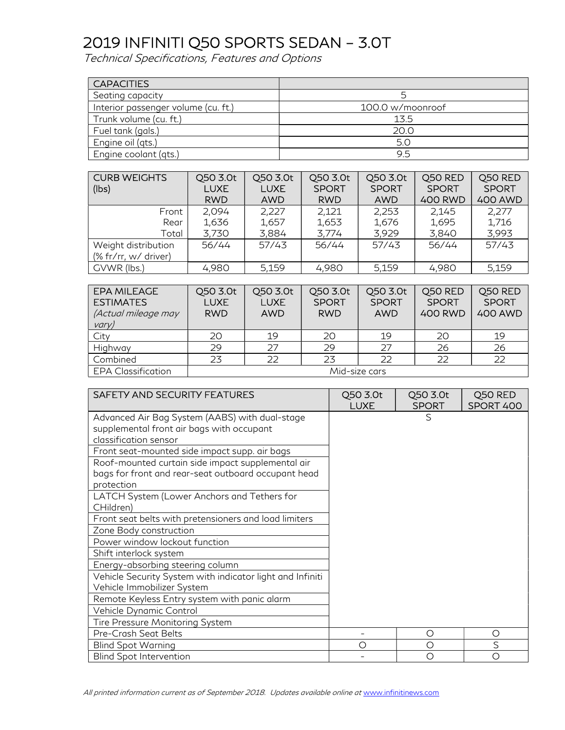| <b>CAPACITIES</b>                   |                  |
|-------------------------------------|------------------|
| Seating capacity                    |                  |
| Interior passenger volume (cu. ft.) | 100.0 w/moonroof |
| Trunk volume (cu. ft.)              | 13.5             |
| Fuel tank (gals.)                   | 20.0             |
| Engine oil (qts.)                   | 5.0              |
| Engine coolant (qts.)               | 9.5              |

| <b>CURB WEIGHTS</b><br>(lbs) | Q50 3.0t<br><b>LUXE</b><br><b>RWD</b> | Q50 3.0t<br><b>LUXE</b><br>AWD | Q50 3.0t<br><b>SPORT</b><br><b>RWD</b> | Q50 3.0t<br><b>SPORT</b><br><b>AWD</b> | Q50 RED<br><b>SPORT</b><br><b>400 RWD</b> | Q50 RED<br><b>SPORT</b><br><b>400 AWD</b> |
|------------------------------|---------------------------------------|--------------------------------|----------------------------------------|----------------------------------------|-------------------------------------------|-------------------------------------------|
| Front                        | 2,094                                 | 2,227                          | 2,121                                  | 2,253                                  | 2.145                                     | 2,277                                     |
| Rear                         | 1,636                                 | 1,657                          | 1,653                                  | 1,676                                  | 1,695                                     | 1,716                                     |
| Total                        | 3,730                                 | 3,884                          | 3,774                                  | 3,929                                  | 3,840                                     | 3,993                                     |
| Weight distribution          | 56/44                                 | 57/43                          | 56/44                                  | 57/43                                  | 56/44                                     | 57/43                                     |
| (% fr/rr, w/ driver)         |                                       |                                |                                        |                                        |                                           |                                           |
| GVWR (lbs.)                  | 4,980                                 | 5,159                          | 4,980                                  | 5,159                                  | 4,980                                     | 5,159                                     |

| <b>EPA MILEAGE</b><br><b>ESTIMATES</b><br>(Actual mileage may<br>vary) | Q50 3.0t<br><b>LUXE</b><br><b>RWD</b> | Q50 3.0t<br><b>LUXE</b><br>AWD | Q50 3.0t<br><b>SPORT</b><br><b>RWD</b> | Q50 3.0t<br><b>SPORT</b><br><b>AWD</b> | Q50 RED<br><b>SPORT</b><br><b>400 RWD</b> | Q50 RED<br><b>SPORT</b><br><b>400 AWD</b> |
|------------------------------------------------------------------------|---------------------------------------|--------------------------------|----------------------------------------|----------------------------------------|-------------------------------------------|-------------------------------------------|
| City                                                                   | 20                                    | 19                             | 20                                     | 19                                     | 20                                        | 19                                        |
| Highway                                                                | 29                                    | 27                             | 29                                     | 27                                     | 26                                        | 26                                        |
| Combined                                                               | 23                                    | 22                             | 23                                     | 22                                     | 22                                        | 22                                        |
| <b>EPA Classification</b>                                              | Mid-size cars                         |                                |                                        |                                        |                                           |                                           |

| <b>SAFETY AND SECURITY FEATURES</b>                       | Q50 3.0t<br><b>LUXE</b> | Q50 3.0t<br><b>SPORT</b> | Q50 RED<br>SPORT 400 |
|-----------------------------------------------------------|-------------------------|--------------------------|----------------------|
| Advanced Air Bag System (AABS) with dual-stage            |                         | S                        |                      |
| supplemental front air bags with occupant                 |                         |                          |                      |
| classification sensor                                     |                         |                          |                      |
| Front seat-mounted side impact supp. air bags             |                         |                          |                      |
| Roof-mounted curtain side impact supplemental air         |                         |                          |                      |
| bags for front and rear-seat outboard occupant head       |                         |                          |                      |
| protection                                                |                         |                          |                      |
| LATCH System (Lower Anchors and Tethers for               |                         |                          |                      |
| CHildren)                                                 |                         |                          |                      |
| Front seat belts with pretensioners and load limiters     |                         |                          |                      |
| Zone Body construction                                    |                         |                          |                      |
| Power window lockout function                             |                         |                          |                      |
| Shift interlock system                                    |                         |                          |                      |
| Energy-absorbing steering column                          |                         |                          |                      |
| Vehicle Security System with indicator light and Infiniti |                         |                          |                      |
| Vehicle Immobilizer System                                |                         |                          |                      |
| Remote Keyless Entry system with panic alarm              |                         |                          |                      |
| Vehicle Dynamic Control                                   |                         |                          |                      |
| Tire Pressure Monitoring System                           |                         |                          |                      |
| Pre-Crash Seat Belts                                      |                         | О                        | O                    |
| <b>Blind Spot Warning</b>                                 | О                       | O                        | S                    |
| <b>Blind Spot Intervention</b>                            |                         | О                        | Ω                    |